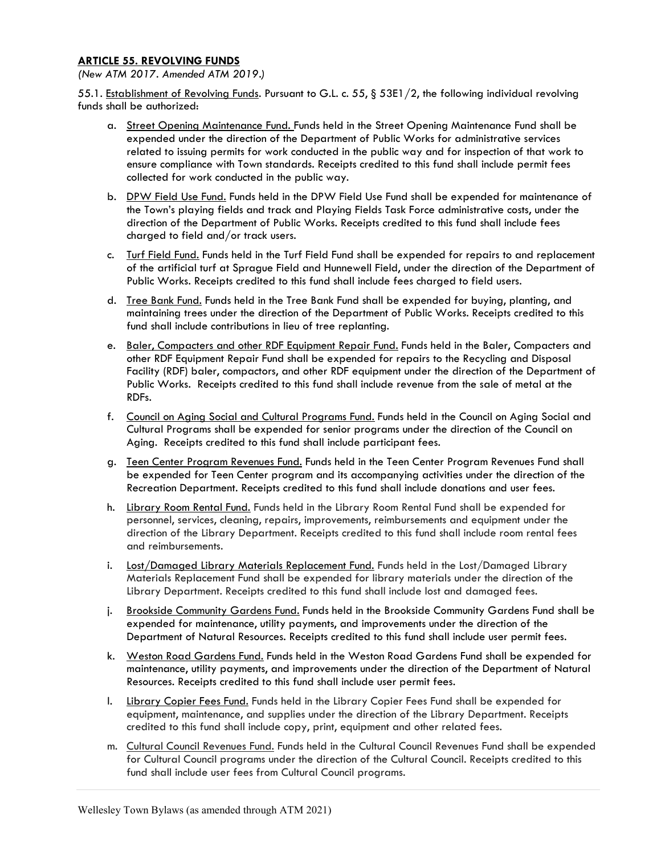## ARTICLE 55. REVOLVING FUNDS

(New ATM 2017. Amended ATM 2019.)

55.1. Establishment of Revolving Funds. Pursuant to G.L. c. 55, § 53E1/2, the following individual revolving funds shall be authorized:

- a. Street Opening Maintenance Fund. Funds held in the Street Opening Maintenance Fund shall be expended under the direction of the Department of Public Works for administrative services related to issuing permits for work conducted in the public way and for inspection of that work to ensure compliance with Town standards. Receipts credited to this fund shall include permit fees collected for work conducted in the public way.
- b. DPW Field Use Fund. Funds held in the DPW Field Use Fund shall be expended for maintenance of the Town's playing fields and track and Playing Fields Task Force administrative costs, under the direction of the Department of Public Works. Receipts credited to this fund shall include fees charged to field and/or track users.
- c. Turf Field Fund. Funds held in the Turf Field Fund shall be expended for repairs to and replacement of the artificial turf at Sprague Field and Hunnewell Field, under the direction of the Department of Public Works. Receipts credited to this fund shall include fees charged to field users.
- d. Tree Bank Fund. Funds held in the Tree Bank Fund shall be expended for buying, planting, and maintaining trees under the direction of the Department of Public Works. Receipts credited to this fund shall include contributions in lieu of tree replanting.
- e. Baler, Compacters and other RDF Equipment Repair Fund. Funds held in the Baler, Compacters and other RDF Equipment Repair Fund shall be expended for repairs to the Recycling and Disposal Facility (RDF) baler, compactors, and other RDF equipment under the direction of the Department of Public Works. Receipts credited to this fund shall include revenue from the sale of metal at the RDFs.
- f. Council on Aging Social and Cultural Programs Fund. Funds held in the Council on Aging Social and Cultural Programs shall be expended for senior programs under the direction of the Council on Aging. Receipts credited to this fund shall include participant fees.
- g. Teen Center Program Revenues Fund. Funds held in the Teen Center Program Revenues Fund shall be expended for Teen Center program and its accompanying activities under the direction of the Recreation Department. Receipts credited to this fund shall include donations and user fees.
- h. Library Room Rental Fund. Funds held in the Library Room Rental Fund shall be expended for personnel, services, cleaning, repairs, improvements, reimbursements and equipment under the direction of the Library Department. Receipts credited to this fund shall include room rental fees and reimbursements.
- i. Lost/Damaged Library Materials Replacement Fund. Funds held in the Lost/Damaged Library Materials Replacement Fund shall be expended for library materials under the direction of the Library Department. Receipts credited to this fund shall include lost and damaged fees.
- j. Brookside Community Gardens Fund. Funds held in the Brookside Community Gardens Fund shall be expended for maintenance, utility payments, and improvements under the direction of the Department of Natural Resources. Receipts credited to this fund shall include user permit fees.
- k. Weston Road Gardens Fund. Funds held in the Weston Road Gardens Fund shall be expended for maintenance, utility payments, and improvements under the direction of the Department of Natural Resources. Receipts credited to this fund shall include user permit fees.
- l. Library Copier Fees Fund. Funds held in the Library Copier Fees Fund shall be expended for equipment, maintenance, and supplies under the direction of the Library Department. Receipts credited to this fund shall include copy, print, equipment and other related fees.
- m. Cultural Council Revenues Fund. Funds held in the Cultural Council Revenues Fund shall be expended for Cultural Council programs under the direction of the Cultural Council. Receipts credited to this fund shall include user fees from Cultural Council programs.